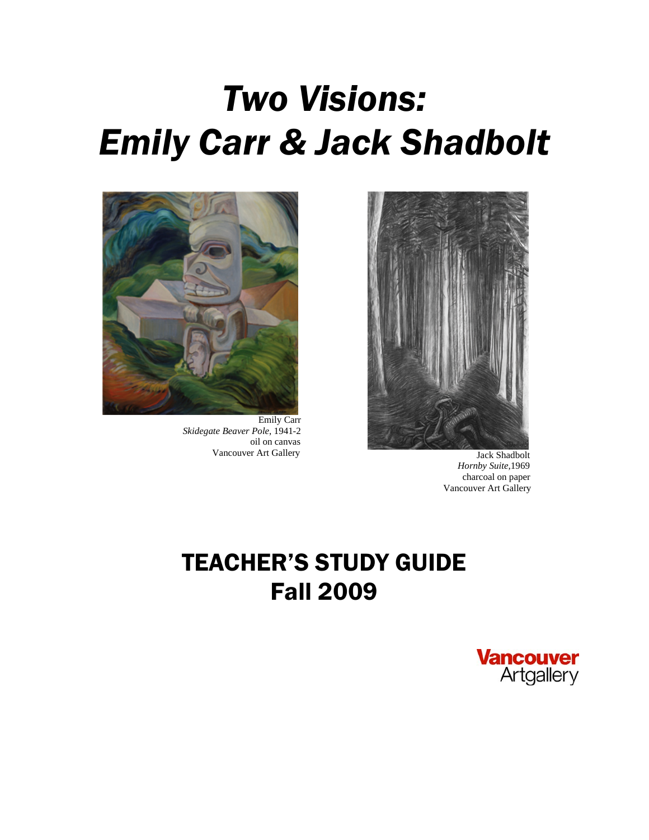# *Two Visions: Emily Carr & Jack Shadbolt*



 Emily Carr *Skidegate Beaver Pole*, 1941-2 oil on canvas



Vancouver Art Gallery Jack Shadbolt *Hornby Suite,*1969 charcoal on paper Vancouver Art Gallery

## TEACHER'S STUDY GUIDE Fall 2009

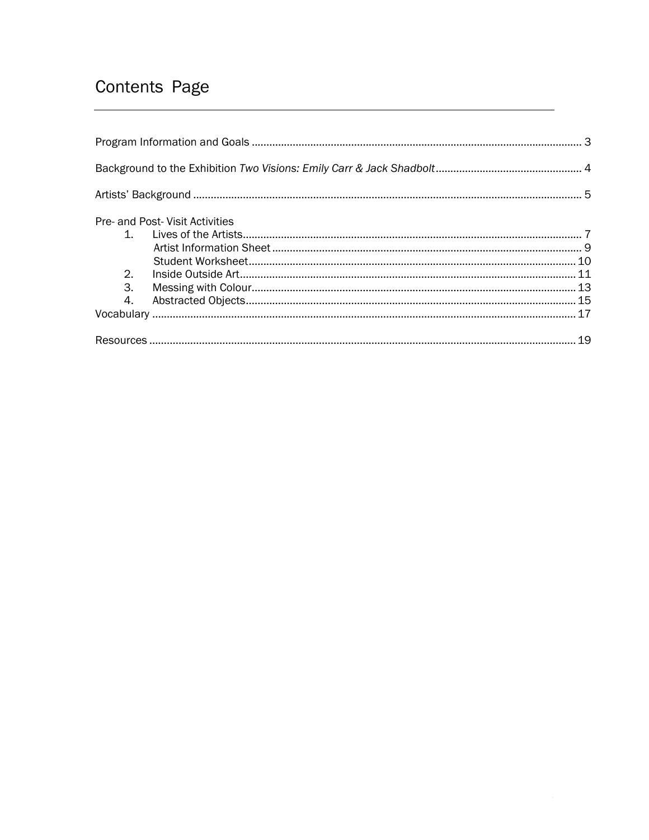## Contents Page

|         | Pre- and Post- Visit Activities |  |
|---------|---------------------------------|--|
| $1_{-}$ |                                 |  |
|         |                                 |  |
| 2.      |                                 |  |
| 3.      |                                 |  |
| 4.      |                                 |  |
|         |                                 |  |
|         |                                 |  |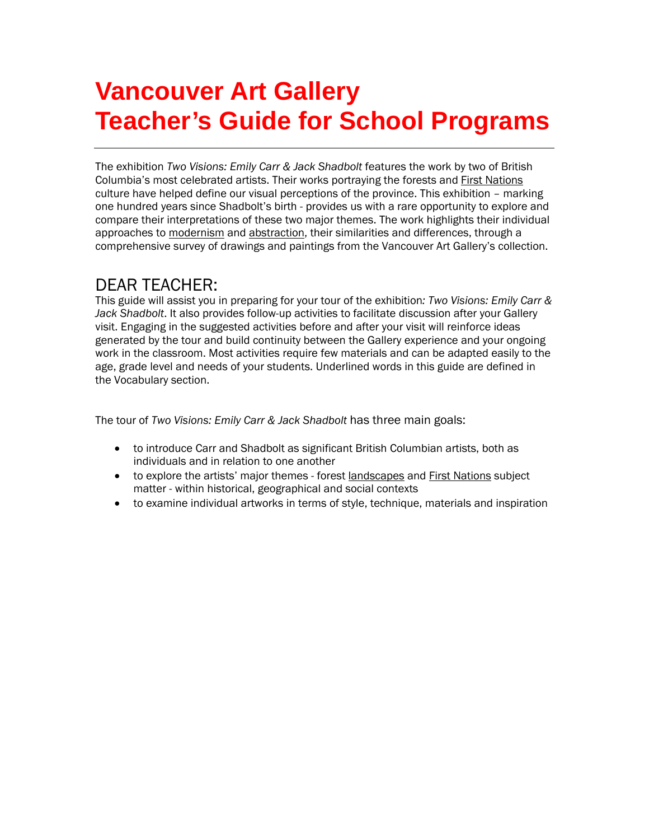## **Vancouver Art Gallery Teacher's Guide for School Programs**

The exhibition *Two Visions: Emily Carr & Jack Shadbolt* features the work by two of British Columbia's most celebrated artists. Their works portraying the forests and **First Nations** culture have helped define our visual perceptions of the province. This exhibition – marking one hundred years since Shadbolt's birth - provides us with a rare opportunity to explore and compare their interpretations of these two major themes. The work highlights their individual approaches to modernism and abstraction, their similarities and differences, through a comprehensive survey of drawings and paintings from the Vancouver Art Gallery's collection.

## DEAR TEACHER:

This guide will assist you in preparing for your tour of the exhibition*: Two Visions: Emily Carr & Jack Shadbolt*. It also provides follow-up activities to facilitate discussion after your Gallery visit. Engaging in the suggested activities before and after your visit will reinforce ideas generated by the tour and build continuity between the Gallery experience and your ongoing work in the classroom. Most activities require few materials and can be adapted easily to the age, grade level and needs of your students. Underlined words in this guide are defined in the Vocabulary section.

The tour of *Two Visions: Emily Carr & Jack Shadbolt* has three main goals:

- to introduce Carr and Shadbolt as significant British Columbian artists, both as individuals and in relation to one another
- to explore the artists' major themes forest landscapes and First Nations subject matter - within historical, geographical and social contexts
- to examine individual artworks in terms of style, technique, materials and inspiration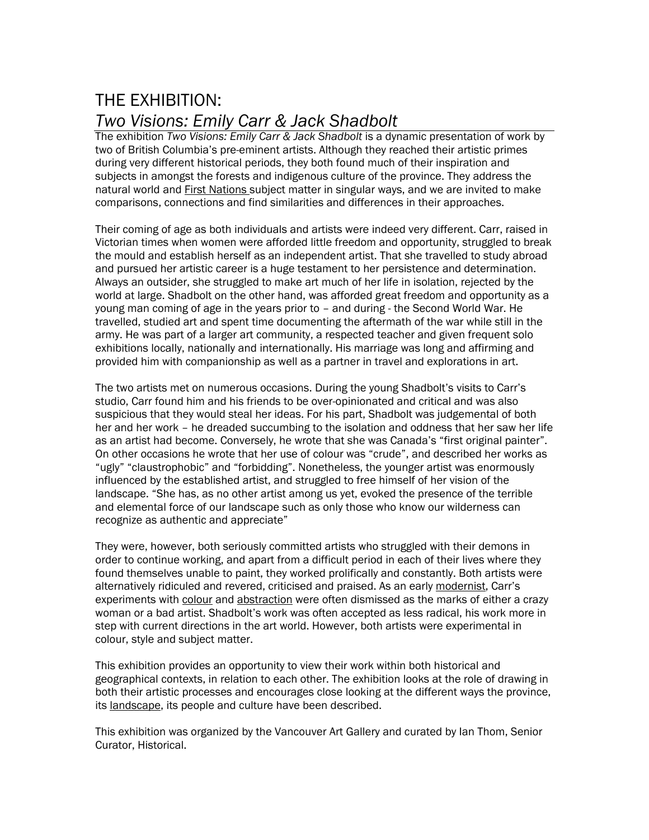# THE EXHIBITION:

*Two Visions: Emily Carr & Jack Shadbolt*<br>The exhibition *Two Visions: Emily Carr & Jack Shadbolt* is a dynamic presentation of work by two of British Columbia's pre-eminent artists. Although they reached their artistic primes during very different historical periods, they both found much of their inspiration and subjects in amongst the forests and indigenous culture of the province. They address the natural world and First Nations subject matter in singular ways, and we are invited to make comparisons, connections and find similarities and differences in their approaches.

Their coming of age as both individuals and artists were indeed very different. Carr, raised in Victorian times when women were afforded little freedom and opportunity, struggled to break the mould and establish herself as an independent artist. That she travelled to study abroad and pursued her artistic career is a huge testament to her persistence and determination. Always an outsider, she struggled to make art much of her life in isolation, rejected by the world at large. Shadbolt on the other hand, was afforded great freedom and opportunity as a young man coming of age in the years prior to – and during - the Second World War. He travelled, studied art and spent time documenting the aftermath of the war while still in the army. He was part of a larger art community, a respected teacher and given frequent solo exhibitions locally, nationally and internationally. His marriage was long and affirming and provided him with companionship as well as a partner in travel and explorations in art.

The two artists met on numerous occasions. During the young Shadbolt's visits to Carr's studio, Carr found him and his friends to be over-opinionated and critical and was also suspicious that they would steal her ideas. For his part, Shadbolt was judgemental of both her and her work – he dreaded succumbing to the isolation and oddness that her saw her life as an artist had become. Conversely, he wrote that she was Canada's "first original painter". On other occasions he wrote that her use of colour was "crude", and described her works as "ugly" "claustrophobic" and "forbidding". Nonetheless, the younger artist was enormously influenced by the established artist, and struggled to free himself of her vision of the landscape. "She has, as no other artist among us yet, evoked the presence of the terrible and elemental force of our landscape such as only those who know our wilderness can recognize as authentic and appreciate"

They were, however, both seriously committed artists who struggled with their demons in order to continue working, and apart from a difficult period in each of their lives where they found themselves unable to paint, they worked prolifically and constantly. Both artists were alternatively ridiculed and revered, criticised and praised. As an early modernist, Carr's experiments with colour and abstraction were often dismissed as the marks of either a crazy woman or a bad artist. Shadbolt's work was often accepted as less radical, his work more in step with current directions in the art world. However, both artists were experimental in colour, style and subject matter.

This exhibition provides an opportunity to view their work within both historical and geographical contexts, in relation to each other. The exhibition looks at the role of drawing in both their artistic processes and encourages close looking at the different ways the province, its landscape, its people and culture have been described.

This exhibition was organized by the Vancouver Art Gallery and curated by Ian Thom, Senior Curator, Historical.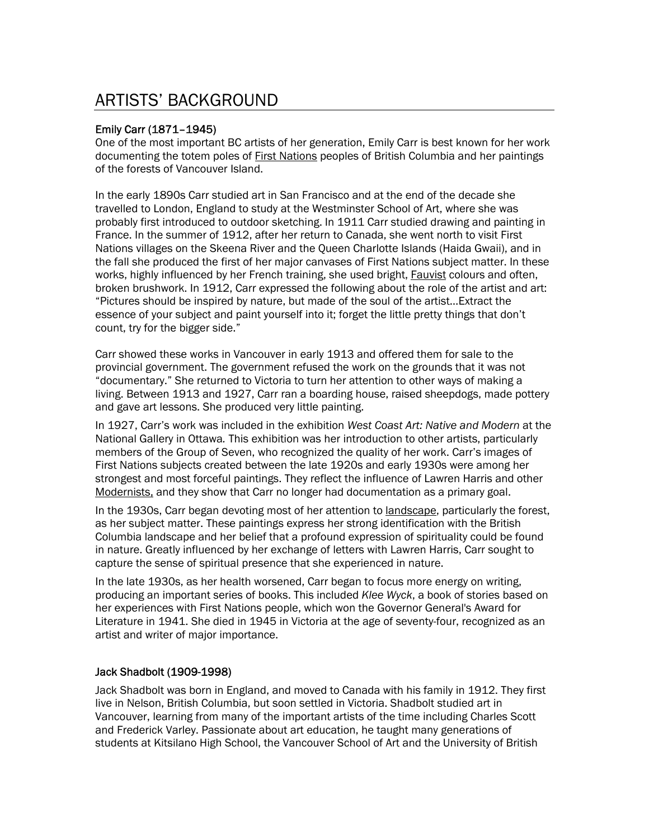## ARTISTS' BACKGROUND

#### Emily Carr (1871–1945)

One of the most important BC artists of her generation, Emily Carr is best known for her work documenting the totem poles of **First Nations** peoples of British Columbia and her paintings of the forests of Vancouver Island.

In the early 1890s Carr studied art in San Francisco and at the end of the decade she travelled to London, England to study at the Westminster School of Art, where she was probably first introduced to outdoor sketching. In 1911 Carr studied drawing and painting in France. In the summer of 1912, after her return to Canada, she went north to visit First Nations villages on the Skeena River and the Queen Charlotte Islands (Haida Gwaii), and in the fall she produced the first of her major canvases of First Nations subject matter. In these works, highly influenced by her French training, she used bright, **Fauvist colours and often**, broken brushwork. In 1912, Carr expressed the following about the role of the artist and art: "Pictures should be inspired by nature, but made of the soul of the artist…Extract the essence of your subject and paint yourself into it; forget the little pretty things that don't count, try for the bigger side."

Carr showed these works in Vancouver in early 1913 and offered them for sale to the provincial government. The government refused the work on the grounds that it was not "documentary." She returned to Victoria to turn her attention to other ways of making a living. Between 1913 and 1927, Carr ran a boarding house, raised sheepdogs, made pottery and gave art lessons. She produced very little painting.

In 1927, Carr's work was included in the exhibition *West Coast Art: Native and Modern* at the National Gallery in Ottawa*.* This exhibition was her introduction to other artists, particularly members of the Group of Seven, who recognized the quality of her work. Carr's images of First Nations subjects created between the late 1920s and early 1930s were among her strongest and most forceful paintings. They reflect the influence of Lawren Harris and other Modernists, and they show that Carr no longer had documentation as a primary goal.

In the 1930s, Carr began devoting most of her attention to landscape, particularly the forest, as her subject matter. These paintings express her strong identification with the British Columbia landscape and her belief that a profound expression of spirituality could be found in nature. Greatly influenced by her exchange of letters with Lawren Harris, Carr sought to capture the sense of spiritual presence that she experienced in nature.

In the late 1930s, as her health worsened, Carr began to focus more energy on writing, producing an important series of books. This included *Klee Wyck*, a book of stories based on her experiences with First Nations people, which won the Governor General's Award for Literature in 1941. She died in 1945 in Victoria at the age of seventy-four, recognized as an artist and writer of major importance.

#### Jack Shadbolt (1909-1998)

Jack Shadbolt was born in England, and moved to Canada with his family in 1912. They first live in Nelson, British Columbia, but soon settled in Victoria. Shadbolt studied art in Vancouver, learning from many of the important artists of the time including Charles Scott and Frederick Varley. Passionate about art education, he taught many generations of students at Kitsilano High School, the Vancouver School of Art and the University of British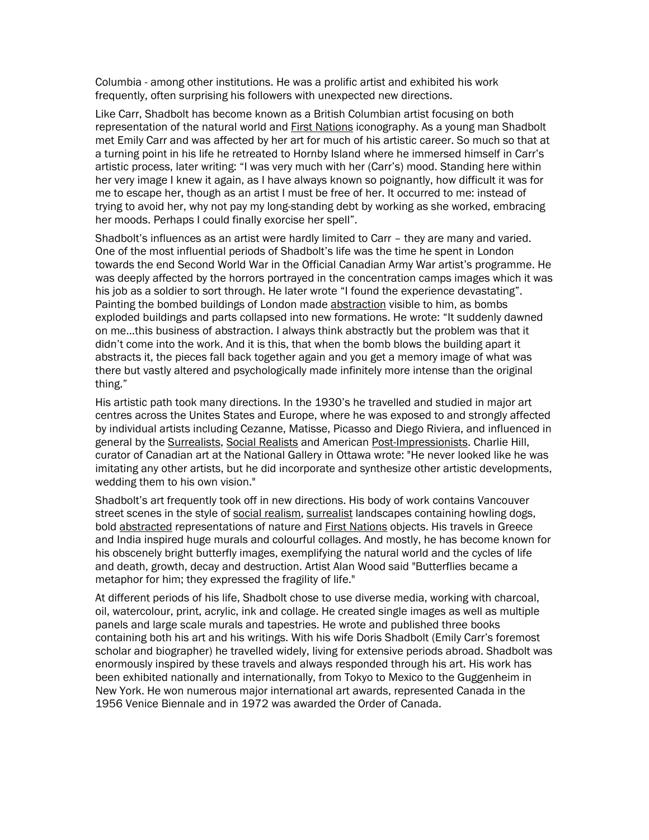Columbia - among other institutions. He was a prolific artist and exhibited his work frequently, often surprising his followers with unexpected new directions.

Like Carr, Shadbolt has become known as a British Columbian artist focusing on both representation of the natural world and **First Nations** iconography. As a young man Shadbolt met Emily Carr and was affected by her art for much of his artistic career. So much so that at a turning point in his life he retreated to Hornby Island where he immersed himself in Carr's artistic process, later writing: "I was very much with her (Carr's) mood. Standing here within her very image I knew it again, as I have always known so poignantly, how difficult it was for me to escape her, though as an artist I must be free of her. It occurred to me: instead of trying to avoid her, why not pay my long-standing debt by working as she worked, embracing her moods. Perhaps I could finally exorcise her spell".

Shadbolt's influences as an artist were hardly limited to Carr – they are many and varied. One of the most influential periods of Shadbolt's life was the time he spent in London towards the end Second World War in the Official Canadian Army War artist's programme. He was deeply affected by the horrors portrayed in the concentration camps images which it was his job as a soldier to sort through. He later wrote "I found the experience devastating". Painting the bombed buildings of London made abstraction visible to him, as bombs exploded buildings and parts collapsed into new formations. He wrote: "It suddenly dawned on me...this business of abstraction. I always think abstractly but the problem was that it didn't come into the work. And it is this, that when the bomb blows the building apart it abstracts it, the pieces fall back together again and you get a memory image of what was there but vastly altered and psychologically made infinitely more intense than the original thing."

His artistic path took many directions. In the 1930's he travelled and studied in major art centres across the Unites States and Europe, where he was exposed to and strongly affected by individual artists including Cezanne, Matisse, Picasso and Diego Riviera, and influenced in general by the Surrealists, Social Realists and American Post-Impressionists. Charlie Hill, curator of Canadian art at the National Gallery in Ottawa wrote: "He never looked like he was imitating any other artists, but he did incorporate and synthesize other artistic developments, wedding them to his own vision."

Shadbolt's art frequently took off in new directions. His body of work contains Vancouver street scenes in the style of social realism, surrealist landscapes containing howling dogs, bold abstracted representations of nature and First Nations objects. His travels in Greece and India inspired huge murals and colourful collages. And mostly, he has become known for his obscenely bright butterfly images, exemplifying the natural world and the cycles of life and death, growth, decay and destruction. Artist Alan Wood said "Butterflies became a metaphor for him; they expressed the fragility of life."

At different periods of his life, Shadbolt chose to use diverse media, working with charcoal, oil, watercolour, print, acrylic, ink and collage. He created single images as well as multiple panels and large scale murals and tapestries. He wrote and published three books containing both his art and his writings. With his wife Doris Shadbolt (Emily Carr's foremost scholar and biographer) he travelled widely, living for extensive periods abroad. Shadbolt was enormously inspired by these travels and always responded through his art. His work has been exhibited nationally and internationally, from Tokyo to Mexico to the Guggenheim in New York. He won numerous major international art awards, represented Canada in the 1956 Venice Biennale and in 1972 was awarded the Order of Canada.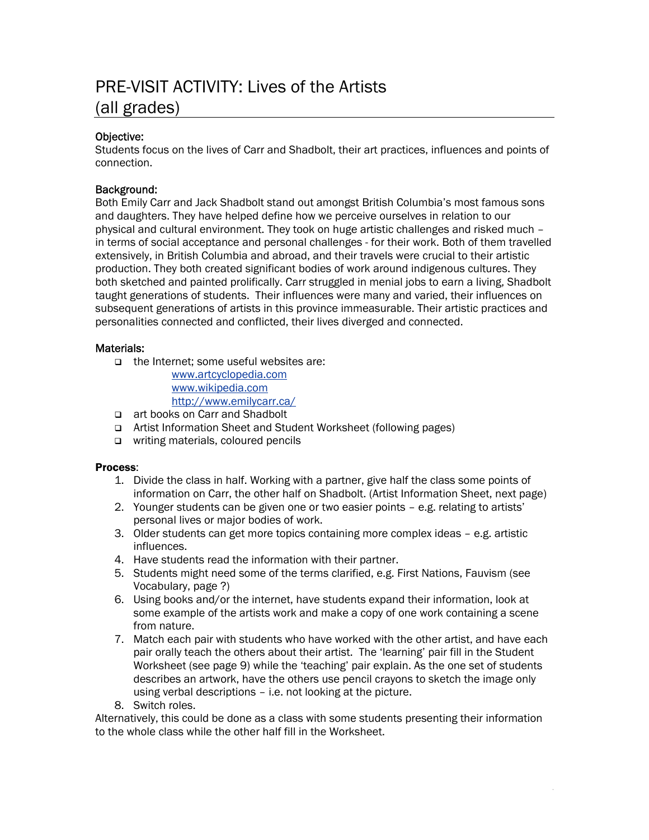## PRE-VISIT ACTIVITY: Lives of the Artists (all grades)

#### Objective:

Students focus on the lives of Carr and Shadbolt, their art practices, influences and points of connection.

#### Background:

Both Emily Carr and Jack Shadbolt stand out amongst British Columbia's most famous sons and daughters. They have helped define how we perceive ourselves in relation to our physical and cultural environment. They took on huge artistic challenges and risked much – in terms of social acceptance and personal challenges - for their work. Both of them travelled extensively, in British Columbia and abroad, and their travels were crucial to their artistic production. They both created significant bodies of work around indigenous cultures. They both sketched and painted prolifically. Carr struggled in menial jobs to earn a living, Shadbolt taught generations of students. Their influences were many and varied, their influences on subsequent generations of artists in this province immeasurable. Their artistic practices and personalities connected and conflicted, their lives diverged and connected.

#### Materials:

□ the Internet: some useful websites are:

[www.artcyclopedia.com](http://www.artcyclopedia.com/) [www.wikipedia.com](http://www.wikipedia.com/)  <http://www.emilycarr.ca/>

- art books on Carr and Shadbolt
- Artist Information Sheet and Student Worksheet (following pages)
- □ writing materials, coloured pencils

#### Process:

- 1. Divide the class in half. Working with a partner, give half the class some points of information on Carr, the other half on Shadbolt. (Artist Information Sheet, next page)
- 2. Younger students can be given one or two easier points e.g. relating to artists' personal lives or major bodies of work.
- 3. Older students can get more topics containing more complex ideas e.g. artistic influences.
- 4. Have students read the information with their partner.
- 5. Students might need some of the terms clarified, e.g. First Nations, Fauvism (see Vocabulary, page ?)
- 6. Using books and/or the internet, have students expand their information, look at some example of the artists work and make a copy of one work containing a scene from nature.
- 7. Match each pair with students who have worked with the other artist, and have each pair orally teach the others about their artist. The 'learning' pair fill in the Student Worksheet (see page 9) while the 'teaching' pair explain. As the one set of students describes an artwork, have the others use pencil crayons to sketch the image only using verbal descriptions – i.e. not looking at the picture.
- 8. Switch roles.

Alternatively, this could be done as a class with some students presenting their information to the whole class while the other half fill in the Worksheet.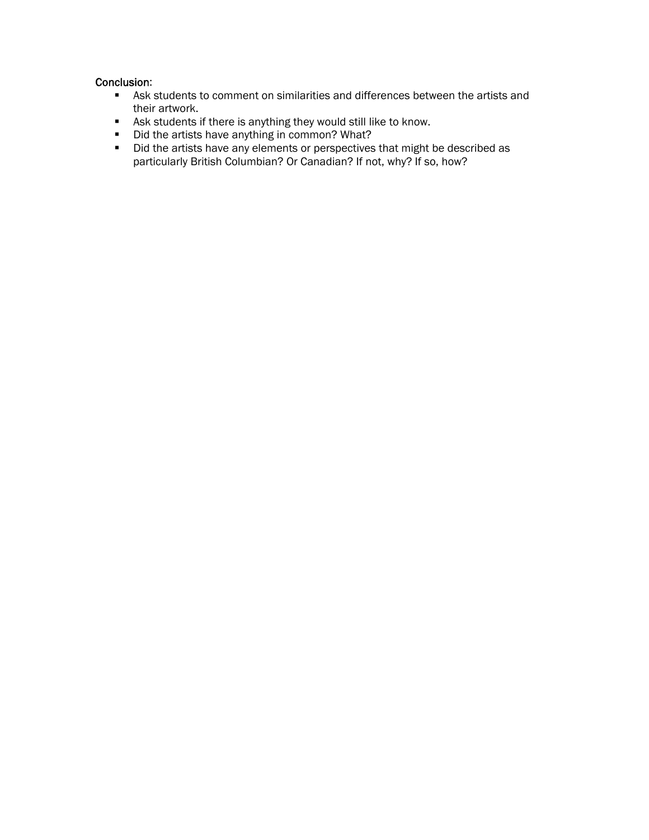#### Conclusion:

- Ask students to comment on similarities and differences between the artists and their artwork.
- Ask students if there is anything they would still like to know.
- Did the artists have anything in common? What?
- Did the artists have any elements or perspectives that might be described as particularly British Columbian? Or Canadian? If not, why? If so, how?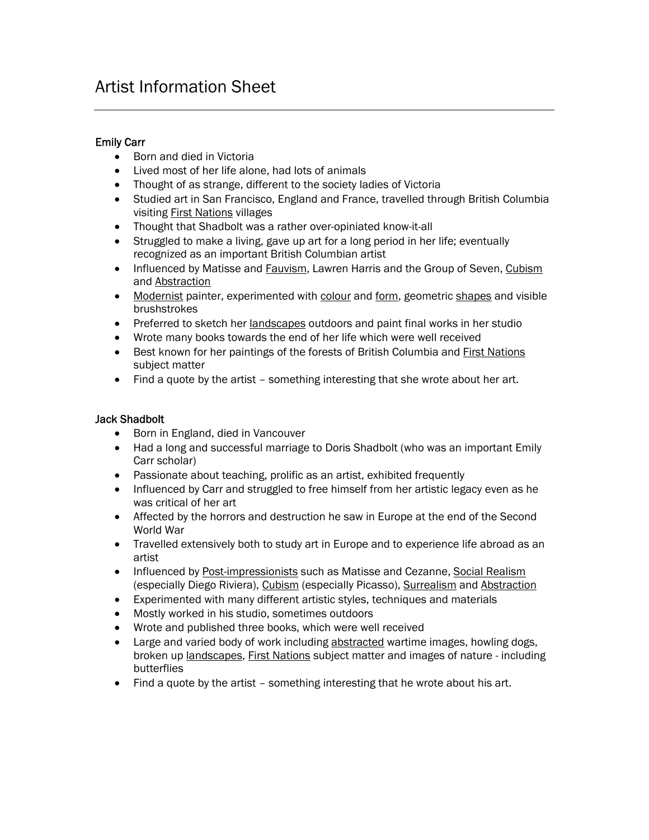### Artist Information Sheet

#### Emily Carr

- Born and died in Victoria
- Lived most of her life alone, had lots of animals
- Thought of as strange, different to the society ladies of Victoria
- Studied art in San Francisco, England and France, travelled through British Columbia visiting First Nations villages
- Thought that Shadbolt was a rather over-opiniated know-it-all
- Struggled to make a living, gave up art for a long period in her life; eventually recognized as an important British Columbian artist
- Influenced by Matisse and Fauvism, Lawren Harris and the Group of Seven, Cubism and Abstraction
- Modernist painter, experimented with colour and form, geometric shapes and visible brushstrokes
- Preferred to sketch her landscapes outdoors and paint final works in her studio
- Wrote many books towards the end of her life which were well received
- Best known for her paintings of the forests of British Columbia and First Nations subject matter
- Find a quote by the artist something interesting that she wrote about her art.

#### Jack Shadbolt

- Born in England, died in Vancouver
- Had a long and successful marriage to Doris Shadbolt (who was an important Emily Carr scholar)
- Passionate about teaching, prolific as an artist, exhibited frequently
- Influenced by Carr and struggled to free himself from her artistic legacy even as he was critical of her art
- Affected by the horrors and destruction he saw in Europe at the end of the Second World War
- Travelled extensively both to study art in Europe and to experience life abroad as an artist
- Influenced by Post-impressionists such as Matisse and Cezanne, Social Realism (especially Diego Riviera), Cubism (especially Picasso), Surrealism and Abstraction
- Experimented with many different artistic styles, techniques and materials
- Mostly worked in his studio, sometimes outdoors
- Wrote and published three books, which were well received
- Large and varied body of work including abstracted wartime images, howling dogs, broken up landscapes, First Nations subject matter and images of nature - including butterflies
- Find a quote by the artist something interesting that he wrote about his art.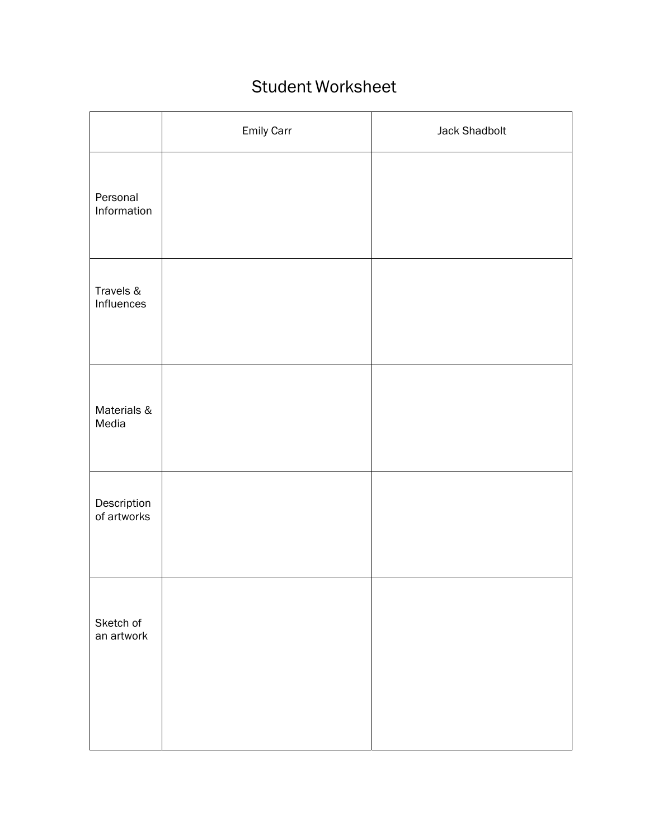## Student Worksheet

|                            | Emily Carr | <b>Jack Shadbolt</b> |
|----------------------------|------------|----------------------|
| Personal<br>Information    |            |                      |
| Travels &<br>Influences    |            |                      |
| Materials &<br>Media       |            |                      |
| Description<br>of artworks |            |                      |
| Sketch of<br>an artwork    |            |                      |
|                            |            |                      |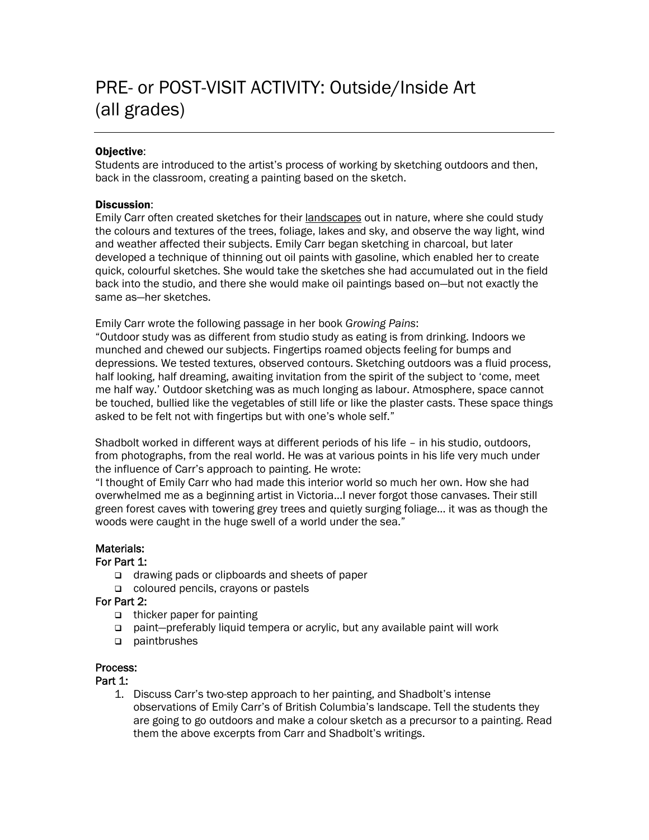#### Objective:

Students are introduced to the artist's process of working by sketching outdoors and then, back in the classroom, creating a painting based on the sketch.

#### Discussion:

Emily Carr often created sketches for their landscapes out in nature, where she could study the colours and textures of the trees, foliage, lakes and sky, and observe the way light, wind and weather affected their subjects. Emily Carr began sketching in charcoal, but later developed a technique of thinning out oil paints with gasoline, which enabled her to create quick, colourful sketches. She would take the sketches she had accumulated out in the field back into the studio, and there she would make oil paintings based on—but not exactly the same as—her sketches.

Emily Carr wrote the following passage in her book *Growing Pains*:

"Outdoor study was as different from studio study as eating is from drinking. Indoors we munched and chewed our subjects. Fingertips roamed objects feeling for bumps and depressions. We tested textures, observed contours. Sketching outdoors was a fluid process, half looking, half dreaming, awaiting invitation from the spirit of the subject to 'come, meet me half way.' Outdoor sketching was as much longing as labour. Atmosphere, space cannot be touched, bullied like the vegetables of still life or like the plaster casts. These space things asked to be felt not with fingertips but with one's whole self."

Shadbolt worked in different ways at different periods of his life – in his studio, outdoors, from photographs, from the real world. He was at various points in his life very much under the influence of Carr's approach to painting. He wrote:

"I thought of Emily Carr who had made this interior world so much her own. How she had overwhelmed me as a beginning artist in Victoria...I never forgot those canvases. Their still green forest caves with towering grey trees and quietly surging foliage… it was as though the woods were caught in the huge swell of a world under the sea."

#### Materials:

#### For Part 1:

- □ drawing pads or clipboards and sheets of paper
- coloured pencils, crayons or pastels

For Part 2:

- $\Box$  thicker paper for painting
- paint—preferably liquid tempera or acrylic, but any available paint will work
- paintbrushes

#### Process:

#### Part 1:

1. Discuss Carr's two-step approach to her painting, and Shadbolt's intense observations of Emily Carr's of British Columbia's landscape. Tell the students they are going to go outdoors and make a colour sketch as a precursor to a painting. Read them the above excerpts from Carr and Shadbolt's writings.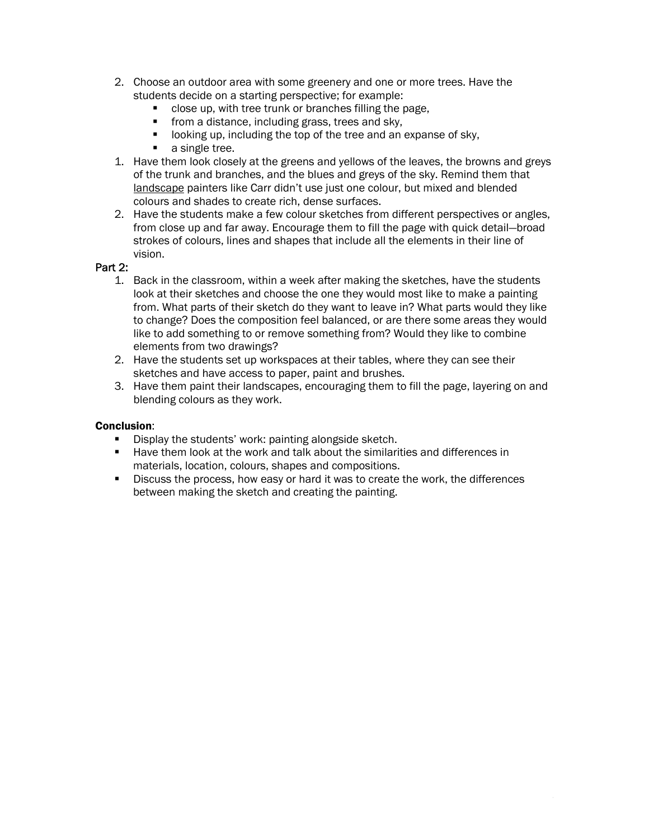- 2. Choose an outdoor area with some greenery and one or more trees. Have the students decide on a starting perspective; for example:
	- close up, with tree trunk or branches filling the page,
	- **from a distance, including grass, trees and sky,**
	- **If** looking up, including the top of the tree and an expanse of sky,
	- a single tree.
- 1. Have them look closely at the greens and yellows of the leaves, the browns and greys of the trunk and branches, and the blues and greys of the sky. Remind them that landscape painters like Carr didn't use just one colour, but mixed and blended colours and shades to create rich, dense surfaces.
- 2. Have the students make a few colour sketches from different perspectives or angles, from close up and far away. Encourage them to fill the page with quick detail—broad strokes of colours, lines and shapes that include all the elements in their line of vision.

#### Part 2:

- 1. Back in the classroom, within a week after making the sketches, have the students look at their sketches and choose the one they would most like to make a painting from. What parts of their sketch do they want to leave in? What parts would they like to change? Does the composition feel balanced, or are there some areas they would like to add something to or remove something from? Would they like to combine elements from two drawings?
- 2. Have the students set up workspaces at their tables, where they can see their sketches and have access to paper, paint and brushes.
- 3. Have them paint their landscapes, encouraging them to fill the page, layering on and blending colours as they work.

#### Conclusion:

- Display the students' work: painting alongside sketch.
- Have them look at the work and talk about the similarities and differences in materials, location, colours, shapes and compositions.
- **Discuss the process, how easy or hard it was to create the work, the differences** between making the sketch and creating the painting.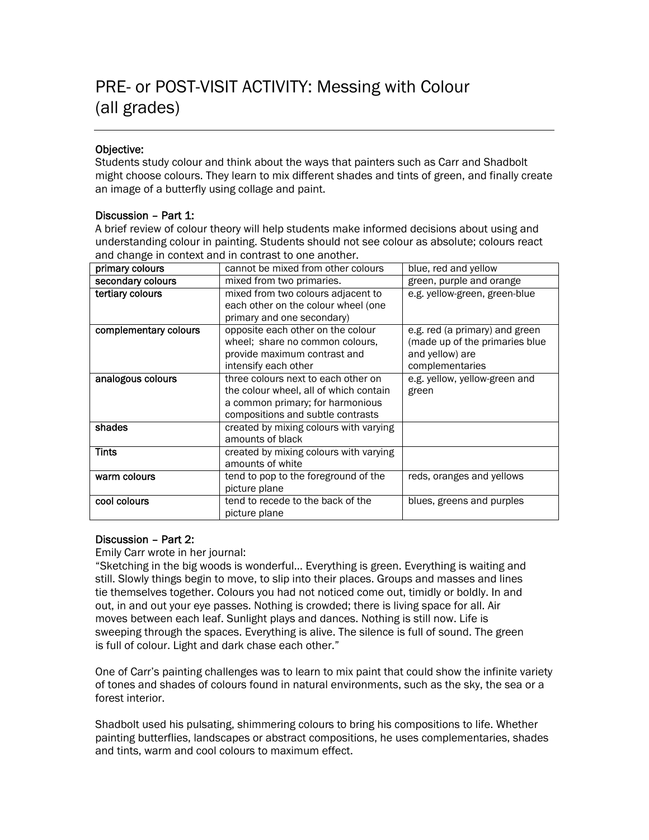#### Objective:

Students study colour and think about the ways that painters such as Carr and Shadbolt might choose colours. They learn to mix different shades and tints of green, and finally create an image of a butterfly using collage and paint.

#### Discussion – Part 1:

A brief review of colour theory will help students make informed decisions about using and understanding colour in painting. Students should not see colour as absolute; colours react and change in context and in contrast to one another.

| primary colours       | cannot be mixed from other colours     | blue, red and yellow            |
|-----------------------|----------------------------------------|---------------------------------|
| secondary colours     | mixed from two primaries.              | green, purple and orange        |
| tertiary colours      | mixed from two colours adjacent to     | e.g. yellow-green, green-blue   |
|                       | each other on the colour wheel (one    |                                 |
|                       | primary and one secondary)             |                                 |
| complementary colours | opposite each other on the colour      | e.g. red (a primary) and green  |
|                       | wheel; share no common colours,        | (made up of the primaries blue) |
|                       | provide maximum contrast and           | and yellow) are                 |
|                       | intensify each other                   | complementaries                 |
| analogous colours     | three colours next to each other on    | e.g. yellow, yellow-green and   |
|                       | the colour wheel, all of which contain | green                           |
|                       | a common primary; for harmonious       |                                 |
|                       | compositions and subtle contrasts      |                                 |
| shades                | created by mixing colours with varying |                                 |
|                       | amounts of black                       |                                 |
| <b>Tints</b>          | created by mixing colours with varying |                                 |
|                       | amounts of white                       |                                 |
| warm colours          | tend to pop to the foreground of the   | reds, oranges and yellows       |
|                       | picture plane                          |                                 |
| cool colours          | tend to recede to the back of the      | blues, greens and purples       |
|                       | picture plane                          |                                 |

#### Discussion – Part 2:

Emily Carr wrote in her journal:

"Sketching in the big woods is wonderful… Everything is green. Everything is waiting and still. Slowly things begin to move, to slip into their places. Groups and masses and lines tie themselves together. Colours you had not noticed come out, timidly or boldly. In and out, in and out your eye passes. Nothing is crowded; there is living space for all. Air moves between each leaf. Sunlight plays and dances. Nothing is still now. Life is sweeping through the spaces. Everything is alive. The silence is full of sound. The green is full of colour. Light and dark chase each other."

One of Carr's painting challenges was to learn to mix paint that could show the infinite variety of tones and shades of colours found in natural environments, such as the sky, the sea or a forest interior.

Shadbolt used his pulsating, shimmering colours to bring his compositions to life. Whether painting butterflies, landscapes or abstract compositions, he uses complementaries, shades and tints, warm and cool colours to maximum effect.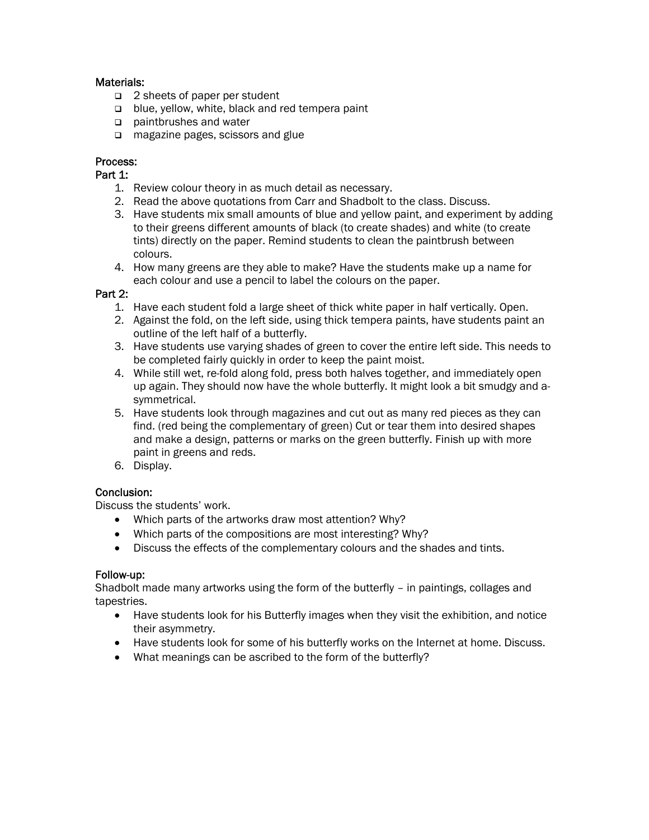#### Materials:

- □ 2 sheets of paper per student
- $\Box$  blue, yellow, white, black and red tempera paint
- paintbrushes and water
- □ magazine pages, scissors and glue

#### Process:

#### Part 1:

- 1. Review colour theory in as much detail as necessary.
- 2. Read the above quotations from Carr and Shadbolt to the class. Discuss.
- 3. Have students mix small amounts of blue and yellow paint, and experiment by adding to their greens different amounts of black (to create shades) and white (to create tints) directly on the paper. Remind students to clean the paintbrush between colours.
- 4. How many greens are they able to make? Have the students make up a name for each colour and use a pencil to label the colours on the paper.

#### Part 2:

- 1. Have each student fold a large sheet of thick white paper in half vertically. Open.
- 2. Against the fold, on the left side, using thick tempera paints, have students paint an outline of the left half of a butterfly.
- 3. Have students use varying shades of green to cover the entire left side. This needs to be completed fairly quickly in order to keep the paint moist.
- 4. While still wet, re-fold along fold, press both halves together, and immediately open up again. They should now have the whole butterfly. It might look a bit smudgy and asymmetrical.
- 5. Have students look through magazines and cut out as many red pieces as they can find. (red being the complementary of green) Cut or tear them into desired shapes and make a design, patterns or marks on the green butterfly. Finish up with more paint in greens and reds.
- 6. Display.

#### Conclusion:

Discuss the students' work.

- Which parts of the artworks draw most attention? Why?
- Which parts of the compositions are most interesting? Why?
- Discuss the effects of the complementary colours and the shades and tints.

#### Follow-up:

Shadbolt made many artworks using the form of the butterfly – in paintings, collages and tapestries.

- Have students look for his Butterfly images when they visit the exhibition, and notice their asymmetry.
- Have students look for some of his butterfly works on the Internet at home. Discuss.
- What meanings can be ascribed to the form of the butterfly?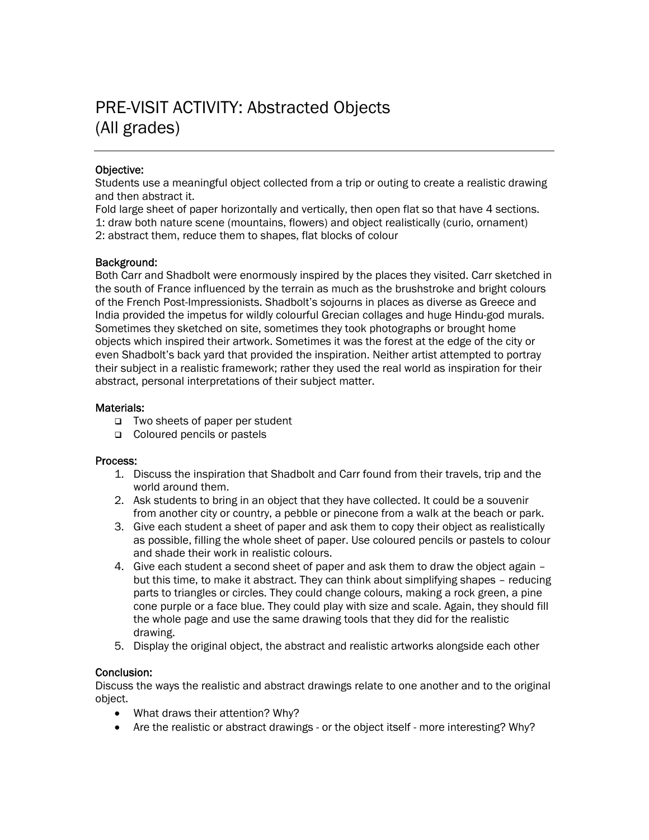## PRE-VISIT ACTIVITY: Abstracted Objects (All grades)

#### Objective:

Students use a meaningful object collected from a trip or outing to create a realistic drawing and then abstract it.

Fold large sheet of paper horizontally and vertically, then open flat so that have 4 sections. 1: draw both nature scene (mountains, flowers) and object realistically (curio, ornament) 2: abstract them, reduce them to shapes, flat blocks of colour

#### Background:

Both Carr and Shadbolt were enormously inspired by the places they visited. Carr sketched in the south of France influenced by the terrain as much as the brushstroke and bright colours of the French Post-Impressionists. Shadbolt's sojourns in places as diverse as Greece and India provided the impetus for wildly colourful Grecian collages and huge Hindu-god murals. Sometimes they sketched on site, sometimes they took photographs or brought home objects which inspired their artwork. Sometimes it was the forest at the edge of the city or even Shadbolt's back yard that provided the inspiration. Neither artist attempted to portray their subject in a realistic framework; rather they used the real world as inspiration for their abstract, personal interpretations of their subject matter.

#### Materials:

- Two sheets of paper per student
- Coloured pencils or pastels

#### Process:

- 1. Discuss the inspiration that Shadbolt and Carr found from their travels, trip and the world around them.
- 2. Ask students to bring in an object that they have collected. It could be a souvenir from another city or country, a pebble or pinecone from a walk at the beach or park.
- 3. Give each student a sheet of paper and ask them to copy their object as realistically as possible, filling the whole sheet of paper. Use coloured pencils or pastels to colour and shade their work in realistic colours.
- 4. Give each student a second sheet of paper and ask them to draw the object again but this time, to make it abstract. They can think about simplifying shapes – reducing parts to triangles or circles. They could change colours, making a rock green, a pine cone purple or a face blue. They could play with size and scale. Again, they should fill the whole page and use the same drawing tools that they did for the realistic drawing.
- 5. Display the original object, the abstract and realistic artworks alongside each other

#### Conclusion:

Discuss the ways the realistic and abstract drawings relate to one another and to the original object.

- What draws their attention? Why?
- Are the realistic or abstract drawings or the object itself more interesting? Why?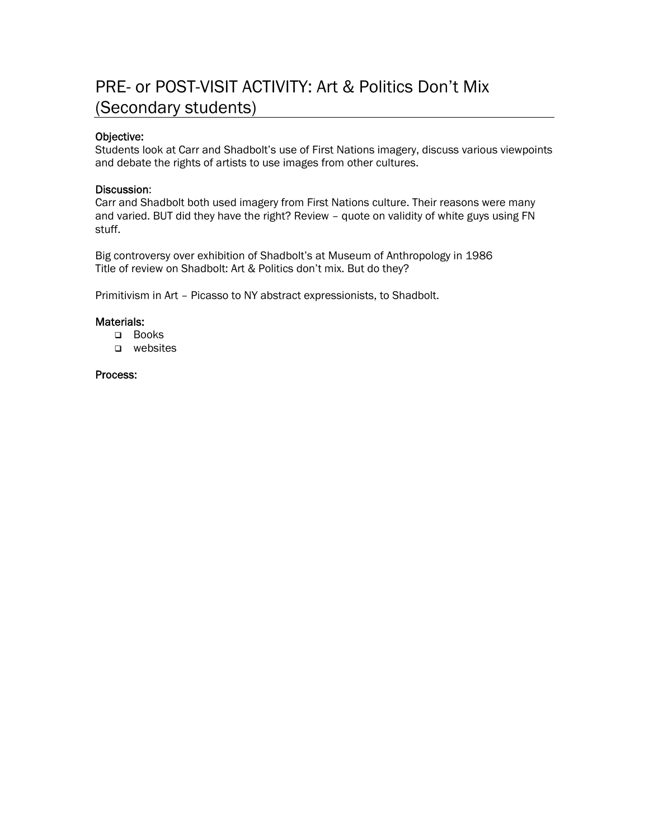## PRE- or POST-VISIT ACTIVITY: Art & Politics Don't Mix (Secondary students)

#### Objective:

Students look at Carr and Shadbolt's use of First Nations imagery, discuss various viewpoints and debate the rights of artists to use images from other cultures.

#### Discussion:

Carr and Shadbolt both used imagery from First Nations culture. Their reasons were many and varied. BUT did they have the right? Review – quote on validity of white guys using FN stuff.

Big controversy over exhibition of Shadbolt's at Museum of Anthropology in 1986 Title of review on Shadbolt: Art & Politics don't mix. But do they?

Primitivism in Art – Picasso to NY abstract expressionists, to Shadbolt.

#### Materials:

- Books
- o websites

#### Process: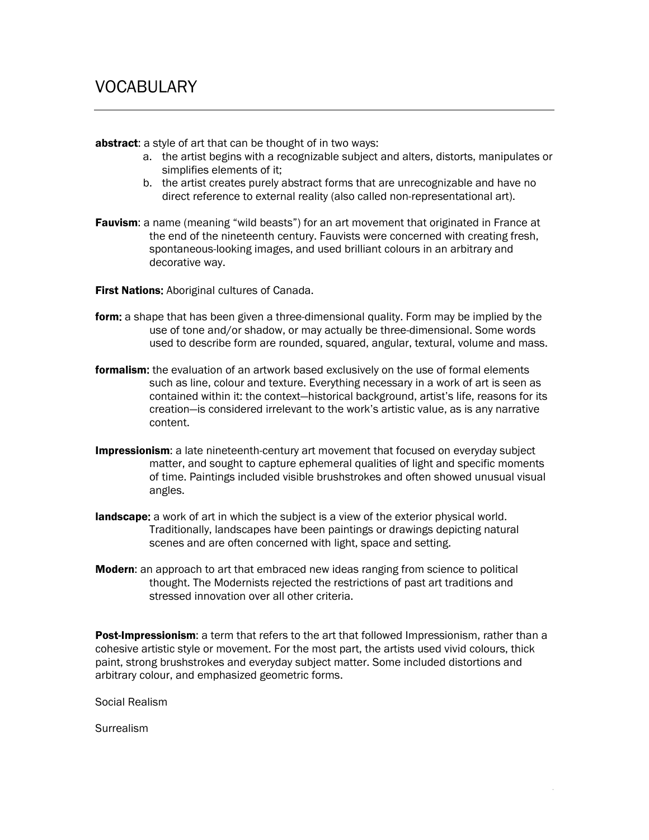abstract: a style of art that can be thought of in two ways:

- a. the artist begins with a recognizable subject and alters, distorts, manipulates or simplifies elements of it;
- b. the artist creates purely abstract forms that are unrecognizable and have no direct reference to external reality (also called non-representational art).
- **Fauvism:** a name (meaning "wild beasts") for an art movement that originated in France at the end of the nineteenth century. Fauvists were concerned with creating fresh, spontaneous-looking images, and used brilliant colours in an arbitrary and decorative way.

**First Nations:** Aboriginal cultures of Canada.

- form: a shape that has been given a three-dimensional quality. Form may be implied by the use of tone and/or shadow, or may actually be three-dimensional. Some words used to describe form are rounded, squared, angular, textural, volume and mass.
- **formalism:** the evaluation of an artwork based exclusively on the use of formal elements such as line, colour and texture. Everything necessary in a work of art is seen as contained within it: the context—historical background, artist's life, reasons for its creation—is considered irrelevant to the work's artistic value, as is any narrative content.
- **Impressionism**: a late nineteenth-century art movement that focused on everyday subject matter, and sought to capture ephemeral qualities of light and specific moments of time. Paintings included visible brushstrokes and often showed unusual visual angles.
- **landscape:** a work of art in which the subject is a view of the exterior physical world. Traditionally, landscapes have been paintings or drawings depicting natural scenes and are often concerned with light, space and setting.
- **Modern:** an approach to art that embraced new ideas ranging from science to political thought. The Modernists rejected the restrictions of past art traditions and stressed innovation over all other criteria.

Post-Impressionism: a term that refers to the art that followed Impressionism, rather than a cohesive artistic style or movement. For the most part, the artists used vivid colours, thick paint, strong brushstrokes and everyday subject matter. Some included distortions and arbitrary colour, and emphasized geometric forms.

Social Realism

**Surrealism**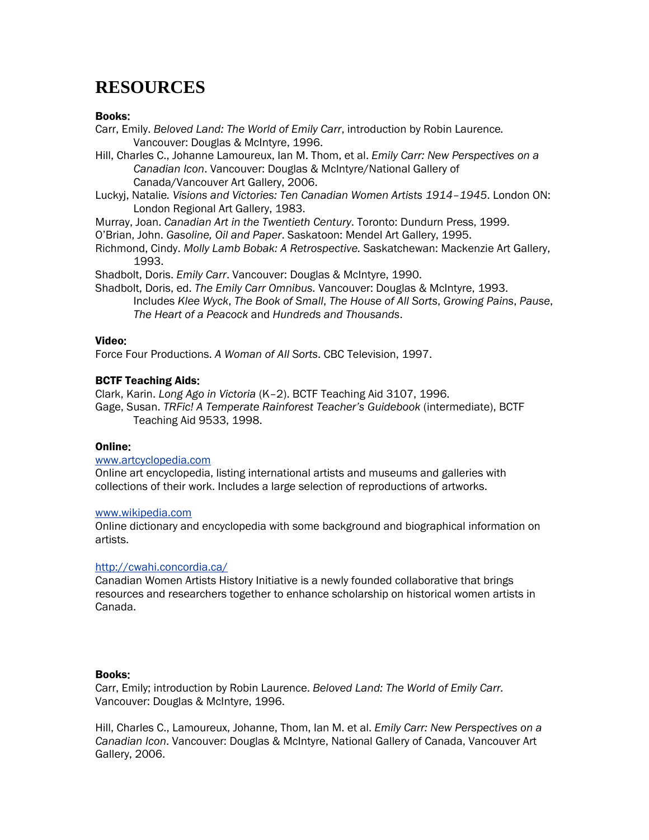## **RESOURCES**

#### Books:

- Carr, Emily. *Beloved Land: The World of Emily Carr*, introduction by Robin Laurence*.*  Vancouver: Douglas & McIntyre, 1996.
- Hill, Charles C., Johanne Lamoureux, Ian M. Thom, et al. *Emily Carr: New Perspectives on a Canadian Icon*. Vancouver: Douglas & McIntyre/National Gallery of Canada/Vancouver Art Gallery, 2006.
- Luckyj, Natalie*. Visions and Victories: Ten Canadian Women Artists 1914–1945*. London ON: London Regional Art Gallery, 1983.
- Murray, Joan. *Canadian Art in the Twentieth Century*. Toronto: Dundurn Press, 1999.
- O'Brian, John. *Gasoline, Oil and Paper*. Saskatoon: Mendel Art Gallery, 1995.
- Richmond, Cindy. *Molly Lamb Bobak: A Retrospective.* Saskatchewan: Mackenzie Art Gallery, 1993.
- Shadbolt, Doris. *Emily Carr*. Vancouver: Douglas & McIntyre, 1990.
- Shadbolt, Doris, ed. *The Emily Carr Omnibus.* Vancouver: Douglas & McIntyre, 1993. Includes *Klee Wyck*, *The Book of Small*, *The House of All Sorts*, *Growing Pains*, *Pause*, *The Heart of a Peacock* and *Hundreds and Thousands*.

#### Video:

Force Four Productions. *A Woman of All Sorts*. CBC Television, 1997.

#### BCTF Teaching Aids:

Clark, Karin. *Long Ago in Victoria* (K–2). BCTF Teaching Aid 3107, 1996.

Gage, Susan. *TRFic! A Temperate Rainforest Teacher's Guidebook* (intermediate), BCTF Teaching Aid 9533, 1998.

#### Online:

#### [www.artcyclopedia.com](http://www.artcyclopedia.com/)

Online art encyclopedia, listing international artists and museums and galleries with collections of their work. Includes a large selection of reproductions of artworks.

#### [www.wikipedia.com](http://www.wikipedia.com/)

Online dictionary and encyclopedia with some background and biographical information on artists.

#### <http://cwahi.concordia.ca/>

Canadian Women Artists History Initiative is a newly founded collaborative that brings resources and researchers together to enhance scholarship on historical women artists in Canada.

#### Books:

Carr, Emily; introduction by Robin Laurence. *Beloved Land: The World of Emily Carr.*  Vancouver: Douglas & McIntyre, 1996.

Hill, Charles C., Lamoureux, Johanne, Thom, Ian M. et al. *Emily Carr: New Perspectives on a Canadian Icon*. Vancouver: Douglas & McIntyre, National Gallery of Canada, Vancouver Art Gallery, 2006.